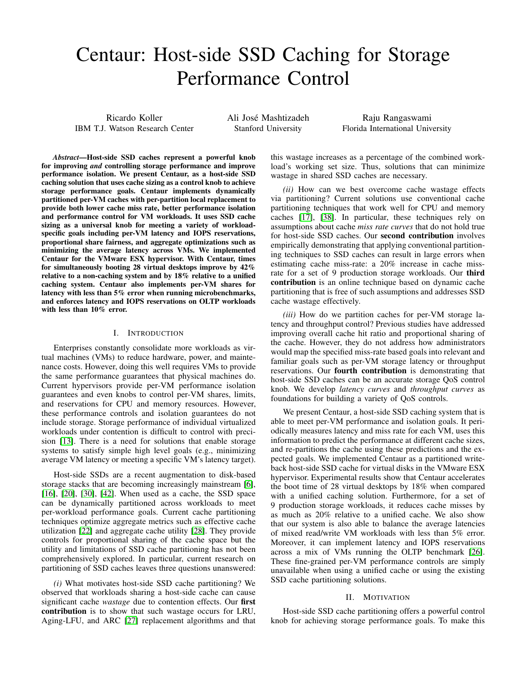# Centaur: Host-side SSD Caching for Storage Performance Control

Ricardo Koller IBM T.J. Watson Research Center Ali José Mashtizadeh Stanford University

Raju Rangaswami Florida International University

*Abstract*—Host-side SSD caches represent a powerful knob for improving *and* controlling storage performance and improve performance isolation. We present Centaur, as a host-side SSD caching solution that uses cache sizing as a control knob to achieve storage performance goals. Centaur implements dynamically partitioned per-VM caches with per-partition local replacement to provide both lower cache miss rate, better performance isolation and performance control for VM workloads. It uses SSD cache sizing as a universal knob for meeting a variety of workloadspecific goals including per-VM latency and IOPS reservations, proportional share fairness, and aggregate optimizations such as minimizing the average latency across VMs. We implemented Centaur for the VMware ESX hypervisor. With Centaur, times for simultaneously booting 28 virtual desktops improve by 42% relative to a non-caching system and by 18% relative to a unified caching system. Centaur also implements per-VM shares for latency with less than 5% error when running microbenchmarks, and enforces latency and IOPS reservations on OLTP workloads with less than 10% error.

## I. INTRODUCTION

Enterprises constantly consolidate more workloads as virtual machines (VMs) to reduce hardware, power, and maintenance costs. However, doing this well requires VMs to provide the same performance guarantees that physical machines do. Current hypervisors provide per-VM performance isolation guarantees and even knobs to control per-VM shares, limits, and reservations for CPU and memory resources. However, these performance controls and isolation guarantees do not include storage. Storage performance of individual virtualized workloads under contention is difficult to control with precision [\[13\]](#page-9-0). There is a need for solutions that enable storage systems to satisfy simple high level goals (e.g., minimizing average VM latency or meeting a specific VM's latency target).

Host-side SSDs are a recent augmentation to disk-based storage stacks that are becoming increasingly mainstream [\[6\]](#page-9-1), [\[16\]](#page-9-2), [\[20\]](#page-9-3), [\[30\]](#page-9-4), [\[42\]](#page-9-5). When used as a cache, the SSD space can be dynamically partitioned across workloads to meet per-workload performance goals. Current cache partitioning techniques optimize aggregate metrics such as effective cache utilization [\[22\]](#page-9-6) and aggregate cache utility [\[28\]](#page-9-7). They provide controls for proportional sharing of the cache space but the utility and limitations of SSD cache partitioning has not been comprehensively explored. In particular, current research on partitioning of SSD caches leaves three questions unanswered:

*(i)* What motivates host-side SSD cache partitioning? We observed that workloads sharing a host-side cache can cause significant cache *wastage* due to contention effects. Our first contribution is to show that such wastage occurs for LRU, Aging-LFU, and ARC [\[27\]](#page-9-8) replacement algorithms and that this wastage increases as a percentage of the combined workload's working set size. Thus, solutions that can minimize wastage in shared SSD caches are necessary.

*(ii)* How can we best overcome cache wastage effects via partitioning? Current solutions use conventional cache partitioning techniques that work well for CPU and memory caches [\[17\]](#page-9-9), [\[38\]](#page-9-10). In particular, these techniques rely on assumptions about cache *miss rate curves* that do not hold true for host-side SSD caches. Our second contribution involves empirically demonstrating that applying conventional partitioning techniques to SSD caches can result in large errors when estimating cache miss-rate: a 20% increase in cache missrate for a set of 9 production storage workloads. Our third contribution is an online technique based on dynamic cache partitioning that is free of such assumptions and addresses SSD cache wastage effectively.

*(iii)* How do we partition caches for per-VM storage latency and throughput control? Previous studies have addressed improving overall cache hit ratio and proportional sharing of the cache. However, they do not address how administrators would map the specified miss-rate based goals into relevant and familiar goals such as per-VM storage latency or throughput reservations. Our fourth contribution is demonstrating that host-side SSD caches can be an accurate storage QoS control knob. We develop *latency curves* and *throughput curves* as foundations for building a variety of QoS controls.

We present Centaur, a host-side SSD caching system that is able to meet per-VM performance and isolation goals. It periodically measures latency and miss rate for each VM, uses this information to predict the performance at different cache sizes, and re-partitions the cache using these predictions and the expected goals. We implemented Centaur as a partitioned writeback host-side SSD cache for virtual disks in the VMware ESX hypervisor. Experimental results show that Centaur accelerates the boot time of 28 virtual desktops by 18% when compared with a unified caching solution. Furthermore, for a set of 9 production storage workloads, it reduces cache misses by as much as 20% relative to a unified cache. We also show that our system is also able to balance the average latencies of mixed read/write VM workloads with less than 5% error. Moreover, it can implement latency and IOPS reservations across a mix of VMs running the OLTP benchmark [\[26\]](#page-9-11). These fine-grained per-VM performance controls are simply unavailable when using a unified cache or using the existing SSD cache partitioning solutions.

#### II. MOTIVATION

Host-side SSD cache partitioning offers a powerful control knob for achieving storage performance goals. To make this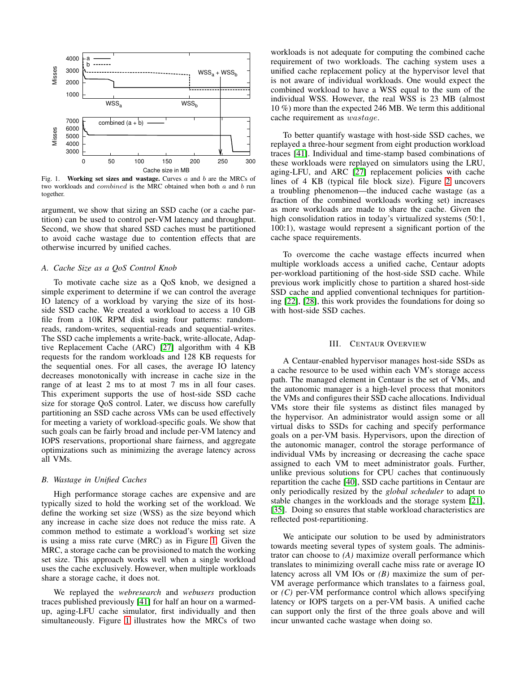

<span id="page-1-0"></span>Fig. 1. Working set sizes and wastage. Curves  $a$  and  $b$  are the MRCs of two workloads and combined is the MRC obtained when both a and b run together.

argument, we show that sizing an SSD cache (or a cache partition) can be used to control per-VM latency and throughput. Second, we show that shared SSD caches must be partitioned to avoid cache wastage due to contention effects that are otherwise incurred by unified caches.

#### *A. Cache Size as a QoS Control Knob*

To motivate cache size as a QoS knob, we designed a simple experiment to determine if we can control the average IO latency of a workload by varying the size of its hostside SSD cache. We created a workload to access a 10 GB file from a 10K RPM disk using four patterns: randomreads, random-writes, sequential-reads and sequential-writes. The SSD cache implements a write-back, write-allocate, Adaptive Replacement Cache (ARC) [\[27\]](#page-9-8) algorithm with 4 KB requests for the random workloads and 128 KB requests for the sequential ones. For all cases, the average IO latency decreases monotonically with increase in cache size in the range of at least 2 ms to at most 7 ms in all four cases. This experiment supports the use of host-side SSD cache size for storage QoS control. Later, we discuss how carefully partitioning an SSD cache across VMs can be used effectively for meeting a variety of workload-specific goals. We show that such goals can be fairly broad and include per-VM latency and IOPS reservations, proportional share fairness, and aggregate optimizations such as minimizing the average latency across all VMs.

#### *B. Wastage in Unified Caches*

High performance storage caches are expensive and are typically sized to hold the working set of the workload. We define the working set size (WSS) as the size beyond which any increase in cache size does not reduce the miss rate. A common method to estimate a workload's working set size is using a miss rate curve (MRC) as in Figure [1.](#page-1-0) Given the MRC, a storage cache can be provisioned to match the working set size. This approach works well when a single workload uses the cache exclusively. However, when multiple workloads share a storage cache, it does not.

We replayed the *webresearch* and *webusers* production traces published previously [\[41\]](#page-9-12) for half an hour on a warmedup, aging-LFU cache simulator, first individually and then simultaneously. Figure [1](#page-1-0) illustrates how the MRCs of two workloads is not adequate for computing the combined cache requirement of two workloads. The caching system uses a unified cache replacement policy at the hypervisor level that is not aware of individual workloads. One would expect the combined workload to have a WSS equal to the sum of the individual WSS. However, the real WSS is 23 MB (almost 10 %) more than the expected 246 MB. We term this additional cache requirement as wastage.

To better quantify wastage with host-side SSD caches, we replayed a three-hour segment from eight production workload traces [\[41\]](#page-9-12). Individual and time-stamp based combinations of these workloads were replayed on simulators using the LRU, aging-LFU, and ARC [\[27\]](#page-9-8) replacement policies with cache lines of 4 KB (typical file block size). Figure [2](#page-2-0) uncovers a troubling phenomenon—the induced cache wastage (as a fraction of the combined workloads working set) increases as more workloads are made to share the cache. Given the high consolidation ratios in today's virtualized systems  $(50:1,$ 100:1), wastage would represent a significant portion of the cache space requirements.

To overcome the cache wastage effects incurred when multiple workloads access a unified cache, Centaur adopts per-workload partitioning of the host-side SSD cache. While previous work implicitly chose to partition a shared host-side SSD cache and applied conventional techniques for partitioning [\[22\]](#page-9-6), [\[28\]](#page-9-7), this work provides the foundations for doing so with host-side SSD caches.

#### III. CENTAUR OVERVIEW

A Centaur-enabled hypervisor manages host-side SSDs as a cache resource to be used within each VM's storage access path. The managed element in Centaur is the set of VMs, and the autonomic manager is a high-level process that monitors the VMs and configures their SSD cache allocations. Individual VMs store their file systems as distinct files managed by the hypervisor. An administrator would assign some or all virtual disks to SSDs for caching and specify performance goals on a per-VM basis. Hypervisors, upon the direction of the autonomic manager, control the storage performance of individual VMs by increasing or decreasing the cache space assigned to each VM to meet administrator goals. Further, unlike previous solutions for CPU caches that continuously repartition the cache [\[40\]](#page-9-13), SSD cache partitions in Centaur are only periodically resized by the *global scheduler* to adapt to stable changes in the workloads and the storage system [\[21\]](#page-9-14), [\[35\]](#page-9-15). Doing so ensures that stable workload characteristics are reflected post-repartitioning.

We anticipate our solution to be used by administrators towards meeting several types of system goals. The administrator can choose to *(A)* maximize overall performance which translates to minimizing overall cache miss rate or average IO latency across all VM IOs or *(B)* maximize the sum of per-VM average performance which translates to a fairness goal, or *(C)* per-VM performance control which allows specifying latency or IOPS targets on a per-VM basis. A unified cache can support only the first of the three goals above and will incur unwanted cache wastage when doing so.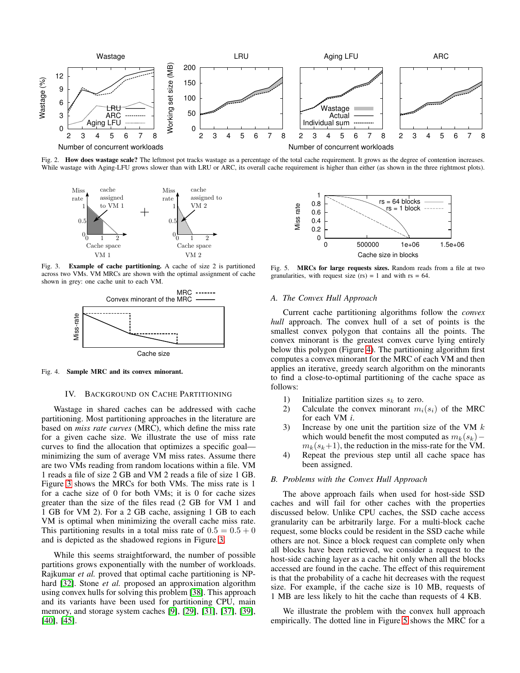

Fig. 2. How does wastage scale? The leftmost pot tracks wastage as a percentage of the total cache requirement. It grows as the degree of contention increases. While wastage with Aging-LFU grows slower than with LRU or ARC, its overall cache requirement is higher than either (as shown in the three rightmost plots).

<span id="page-2-0"></span>

Fig. 3. Example of cache partitioning. A cache of size 2 is partitioned across two VMs. VM MRCs are shown with the optimal assignment of cache shown in grey: one cache unit to each VM.

<span id="page-2-1"></span>

Fig. 4. Sample MRC and its convex minorant.

#### <span id="page-2-2"></span>IV. BACKGROUND ON CACHE PARTITIONING

Wastage in shared caches can be addressed with cache partitioning. Most partitioning approaches in the literature are based on *miss rate curves* (MRC), which define the miss rate for a given cache size. We illustrate the use of miss rate curves to find the allocation that optimizes a specific goal minimizing the sum of average VM miss rates. Assume there are two VMs reading from random locations within a file. VM 1 reads a file of size 2 GB and VM 2 reads a file of size 1 GB. Figure [3](#page-2-1) shows the MRCs for both VMs. The miss rate is 1 for a cache size of 0 for both VMs; it is 0 for cache sizes greater than the size of the files read (2 GB for VM 1 and 1 GB for VM 2). For a 2 GB cache, assigning 1 GB to each VM is optimal when minimizing the overall cache miss rate. This partitioning results in a total miss rate of  $0.5 = 0.5 + 0$ and is depicted as the shadowed regions in Figure [3.](#page-2-1)

While this seems straightforward, the number of possible partitions grows exponentially with the number of workloads. Rajkumar *et al.* proved that optimal cache partitioning is NP-hard [\[32\]](#page-9-16). Stone *et al.* proposed an approximation algorithm using convex hulls for solving this problem [\[38\]](#page-9-10). This approach and its variants have been used for partitioning CPU, main memory, and storage system caches [\[9\]](#page-9-17), [\[29\]](#page-9-18), [\[31\]](#page-9-19), [\[37\]](#page-9-20), [\[39\]](#page-9-21), [\[40\]](#page-9-13), [\[45\]](#page-9-22).



<span id="page-2-3"></span>Fig. 5. MRCs for large requests sizes. Random reads from a file at two granularities, with request size (rs) = 1 and with  $rs = 64$ .

# *A. The Convex Hull Approach*

Current cache partitioning algorithms follow the *convex hull* approach. The convex hull of a set of points is the smallest convex polygon that contains all the points. The convex minorant is the greatest convex curve lying entirely below this polygon (Figure [4\)](#page-2-2). The partitioning algorithm first computes a convex minorant for the MRC of each VM and then applies an iterative, greedy search algorithm on the minorants to find a close-to-optimal partitioning of the cache space as follows:

- 1) Initialize partition sizes  $s_k$  to zero.
- 2) Calculate the convex minorant  $m_i(s_i)$  of the MRC for each VM *i*.
- 3) Increase by one unit the partition size of the VM  $k$ which would benefit the most computed as  $m_k(s_k)$  –  $m_k(s_k+1)$ , the reduction in the miss-rate for the VM.
- 4) Repeat the previous step until all cache space has been assigned.

#### *B. Problems with the Convex Hull Approach*

The above approach fails when used for host-side SSD caches and will fail for other caches with the properties discussed below. Unlike CPU caches, the SSD cache access granularity can be arbitrarily large. For a multi-block cache request, some blocks could be resident in the SSD cache while others are not. Since a block request can complete only when all blocks have been retrieved, we consider a request to the host-side caching layer as a cache hit only when all the blocks accessed are found in the cache. The effect of this requirement is that the probability of a cache hit decreases with the request size. For example, if the cache size is 10 MB, requests of 1 MB are less likely to hit the cache than requests of 4 KB.

We illustrate the problem with the convex hull approach empirically. The dotted line in Figure [5](#page-2-3) shows the MRC for a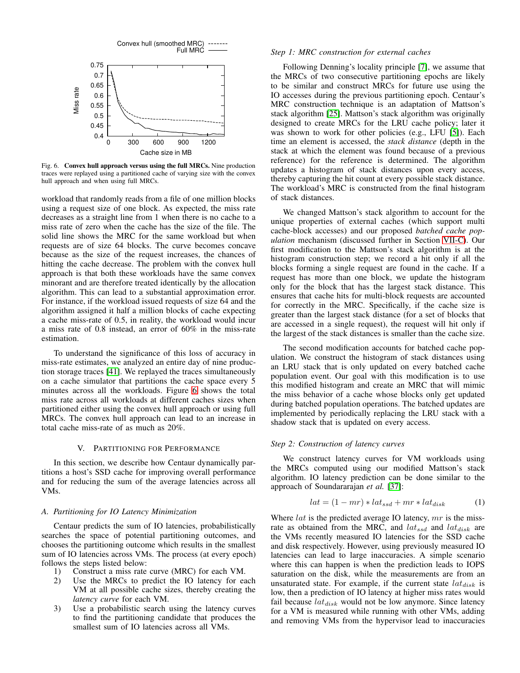

<span id="page-3-0"></span>Fig. 6. Convex hull approach versus using the full MRCs. Nine production traces were replayed using a partitioned cache of varying size with the convex hull approach and when using full MRCs.

workload that randomly reads from a file of one million blocks using a request size of one block. As expected, the miss rate decreases as a straight line from 1 when there is no cache to a miss rate of zero when the cache has the size of the file. The solid line shows the MRC for the same workload but when requests are of size 64 blocks. The curve becomes concave because as the size of the request increases, the chances of hitting the cache decrease. The problem with the convex hull approach is that both these workloads have the same convex minorant and are therefore treated identically by the allocation algorithm. This can lead to a substantial approximation error. For instance, if the workload issued requests of size 64 and the algorithm assigned it half a million blocks of cache expecting a cache miss-rate of 0.5, in reality, the workload would incur a miss rate of 0.8 instead, an error of 60% in the miss-rate estimation.

To understand the significance of this loss of accuracy in miss-rate estimates, we analyzed an entire day of nine production storage traces [\[41\]](#page-9-12). We replayed the traces simultaneously on a cache simulator that partitions the cache space every 5 minutes across all the workloads. Figure [6](#page-3-0) shows the total miss rate across all workloads at different caches sizes when partitioned either using the convex hull approach or using full MRCs. The convex hull approach can lead to an increase in total cache miss-rate of as much as 20%.

## V. PARTITIONING FOR PERFORMANCE

In this section, we describe how Centaur dynamically partitions a host's SSD cache for improving overall performance and for reducing the sum of the average latencies across all VMs.

#### *A. Partitioning for IO Latency Minimization*

Centaur predicts the sum of IO latencies, probabilistically searches the space of potential partitioning outcomes, and chooses the partitioning outcome which results in the smallest sum of IO latencies across VMs. The process (at every epoch) follows the steps listed below:

- 1) Construct a miss rate curve (MRC) for each VM.
- 2) Use the MRCs to predict the IO latency for each VM at all possible cache sizes, thereby creating the *latency curve* for each VM.
- 3) Use a probabilistic search using the latency curves to find the partitioning candidate that produces the smallest sum of IO latencies across all VMs.

#### *Step 1: MRC construction for external caches*

Following Denning's locality principle [\[7\]](#page-9-23), we assume that the MRCs of two consecutive partitioning epochs are likely to be similar and construct MRCs for future use using the IO accesses during the previous partitioning epoch. Centaur's MRC construction technique is an adaptation of Mattson's stack algorithm [\[25\]](#page-9-24). Mattson's stack algorithm was originally designed to create MRCs for the LRU cache policy; later it was shown to work for other policies (e.g., LFU [\[5\]](#page-9-25)). Each time an element is accessed, the *stack distance* (depth in the stack at which the element was found because of a previous reference) for the reference is determined. The algorithm updates a histogram of stack distances upon every access, thereby capturing the hit count at every possible stack distance. The workload's MRC is constructed from the final histogram of stack distances.

We changed Mattson's stack algorithm to account for the unique properties of external caches (which support multi cache-block accesses) and our proposed *batched cache population* mechanism (discussed further in Section [VII-C\)](#page-5-0). Our first modification to the Mattson's stack algorithm is at the histogram construction step; we record a hit only if all the blocks forming a single request are found in the cache. If a request has more than one block, we update the histogram only for the block that has the largest stack distance. This ensures that cache hits for multi-block requests are accounted for correctly in the MRC. Specifically, if the cache size is greater than the largest stack distance (for a set of blocks that are accessed in a single request), the request will hit only if the largest of the stack distances is smaller than the cache size.

The second modification accounts for batched cache population. We construct the histogram of stack distances using an LRU stack that is only updated on every batched cache population event. Our goal with this modification is to use this modified histogram and create an MRC that will mimic the miss behavior of a cache whose blocks only get updated during batched population operations. The batched updates are implemented by periodically replacing the LRU stack with a shadow stack that is updated on every access.

# *Step 2: Construction of latency curves*

We construct latency curves for VM workloads using the MRCs computed using our modified Mattson's stack algorithm. IO latency prediction can be done similar to the approach of Soundararajan *et al.* [\[37\]](#page-9-20):

$$
lat = (1 - mr) * lat_{ssd} + mr * lat_{disk}
$$
 (1)

Where  $lat$  is the predicted average IO latency,  $mr$  is the missrate as obtained from the MRC, and  $lat_{ssd}$  and  $lat_{disk}$  are the VMs recently measured IO latencies for the SSD cache and disk respectively. However, using previously measured IO latencies can lead to large inaccuracies. A simple scenario where this can happen is when the prediction leads to IOPS saturation on the disk, while the measurements are from an unsaturated state. For example, if the current state  $lat_{disk}$  is low, then a prediction of IO latency at higher miss rates would fail because  $lat_{disk}$  would not be low anymore. Since latency for a VM is measured while running with other VMs, adding and removing VMs from the hypervisor lead to inaccuracies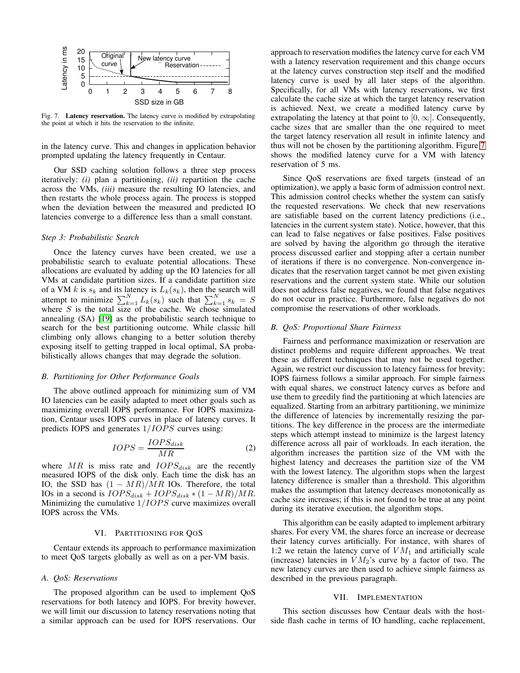

<span id="page-4-0"></span>Fig. 7. Latency reservation. The latency curve is modified by extrapolating the point at which it hits the reservation to the infinite.

in the latency curve. This and changes in application behavior prompted updating the latency frequently in Centaur.

Our SSD caching solution follows a three step process iteratively: *(i)* plan a partitioning, *(ii)* repartition the cache across the VMs, *(iii)* measure the resulting IO latencies, and then restarts the whole process again. The process is stopped when the deviation between the measured and predicted IO latencies converge to a difference less than a small constant.

# *Step 3: Probabilistic Search*

Once the latency curves have been created, we use a probabilistic search to evaluate potential allocations. These allocations are evaluated by adding up the IO latencies for all VMs at candidate partition sizes. If a candidate partition size of a VM k is  $s_k$  and its latency is  $L_k(s_k)$ , then the search will attempt to minimize  $\sum_{k=1}^{N} L_k(s_k)$  such that  $\sum_{k=1}^{N} s_k = S$ where  $S$  is the total size of the cache. We chose simulated annealing (SA) [\[19\]](#page-9-26) as the probabilistic search technique to search for the best partitioning outcome. While classic hill climbing only allows changing to a better solution thereby exposing itself to getting trapped in local optimal, SA probabilistically allows changes that may degrade the solution.

#### *B. Partitioning for Other Performance Goals*

The above outlined approach for minimizing sum of VM IO latencies can be easily adapted to meet other goals such as maximizing overall IOPS performance. For IOPS maximization, Centaur uses IOPS curves in place of latency curves. It predicts IOPS and generates  $1/IOPS$  curves using:

$$
IOPS = \frac{IOPS_{disk}}{MR} \tag{2}
$$

where  $MR$  is miss rate and  $IOPS_{disk}$  are the recently measured IOPS of the disk only. Each time the disk has an IO, the SSD has  $(1 - MR)/MR$  IOs. Therefore, the total IOs in a second is  $IOPS_{disk} + IOPS_{disk} * (1 - MR)/MR$ . Minimizing the cumulative  $1/IOPS$  curve maximizes overall IOPS across the VMs.

#### VI. PARTITIONING FOR QOS

Centaur extends its approach to performance maximization to meet QoS targets globally as well as on a per-VM basis.

#### *A. QoS: Reservations*

The proposed algorithm can be used to implement QoS reservations for both latency and IOPS. For brevity however, we will limit our discussion to latency reservations noting that a similar approach can be used for IOPS reservations. Our approach to reservation modifies the latency curve for each VM with a latency reservation requirement and this change occurs at the latency curves construction step itself and the modified latency curve is used by all later steps of the algorithm. Specifically, for all VMs with latency reservations, we first calculate the cache size at which the target latency reservation is achieved. Next, we create a modified latency curve by extrapolating the latency at that point to  $[0, \infty]$ . Consequently, cache sizes that are smaller than the one required to meet the target latency reservation all result in infinite latency and thus will not be chosen by the partitioning algorithm. Figure [7](#page-4-0) shows the modified latency curve for a VM with latency reservation of 5 ms.

Since QoS reservations are fixed targets (instead of an optimization), we apply a basic form of admission control next. This admission control checks whether the system can satisfy the requested reservations. We check that new reservations are satisfiable based on the current latency predictions (i.e., latencies in the current system state). Notice, however, that this can lead to false negatives or false positives. False positives are solved by having the algorithm go through the iterative process discussed earlier and stopping after a certain number of iterations if there is no convergence. Non-convergence indicates that the reservation target cannot be met given existing reservations and the current system state. While our solution does not address false negatives, we found that false negatives do not occur in practice. Furthermore, false negatives do not compromise the reservations of other workloads.

# *B. QoS: Proportional Share Fairness*

Fairness and performance maximization or reservation are distinct problems and require different approaches. We treat these as different techniques that may not be used together. Again, we restrict our discussion to latency fairness for brevity; IOPS fairness follows a similar approach. For simple fairness with equal shares, we construct latency curves as before and use them to greedily find the partitioning at which latencies are equalized. Starting from an arbitrary partitioning, we minimize the difference of latencies by incrementally resizing the partitions. The key difference in the process are the intermediate steps which attempt instead to minimize is the largest latency difference across all pair of workloads. In each iteration, the algorithm increases the partition size of the VM with the highest latency and decreases the partition size of the VM with the lowest latency. The algorithm stops when the largest latency difference is smaller than a threshold. This algorithm makes the assumption that latency decreases monotonically as cache size increases; if this is not found to be true at any point during its iterative execution, the algorithm stops.

This algorithm can be easily adapted to implement arbitrary shares. For every VM, the shares force an increase or decrease their latency curves artificially. For instance, with shares of 1:2 we retain the latency curve of  $VM_1$  and artificially scale (increase) latencies in  $VM<sub>2</sub>$ 's curve by a factor of two. The new latency curves are then used to achieve simple fairness as described in the previous paragraph.

#### VII. IMPLEMENTATION

This section discusses how Centaur deals with the hostside flash cache in terms of IO handling, cache replacement,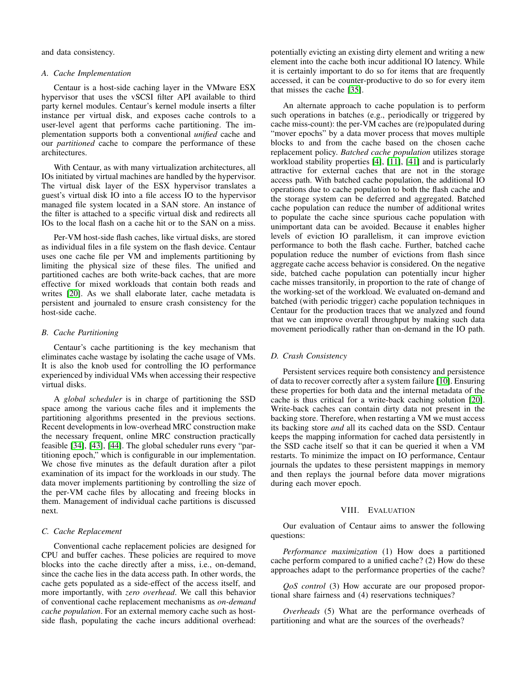and data consistency.

#### *A. Cache Implementation*

Centaur is a host-side caching layer in the VMware ESX hypervisor that uses the vSCSI filter API available to third party kernel modules. Centaur's kernel module inserts a filter instance per virtual disk, and exposes cache controls to a user-level agent that performs cache partitioning. The implementation supports both a conventional *unified* cache and our *partitioned* cache to compare the performance of these architectures.

With Centaur, as with many virtualization architectures, all IOs initiated by virtual machines are handled by the hypervisor. The virtual disk layer of the ESX hypervisor translates a guest's virtual disk IO into a file access IO to the hypervisor managed file system located in a SAN store. An instance of the filter is attached to a specific virtual disk and redirects all IOs to the local flash on a cache hit or to the SAN on a miss.

Per-VM host-side flash caches, like virtual disks, are stored as individual files in a file system on the flash device. Centaur uses one cache file per VM and implements partitioning by limiting the physical size of these files. The unified and partitioned caches are both write-back caches, that are more effective for mixed workloads that contain both reads and writes [\[20\]](#page-9-3). As we shall elaborate later, cache metadata is persistent and journaled to ensure crash consistency for the host-side cache.

#### *B. Cache Partitioning*

Centaur's cache partitioning is the key mechanism that eliminates cache wastage by isolating the cache usage of VMs. It is also the knob used for controlling the IO performance experienced by individual VMs when accessing their respective virtual disks.

A *global scheduler* is in charge of partitioning the SSD space among the various cache files and it implements the partitioning algorithms presented in the previous sections. Recent developments in low-overhead MRC construction make the necessary frequent, online MRC construction practically feasible [\[34\]](#page-9-27), [\[43\]](#page-9-28), [\[44\]](#page-9-29). The global scheduler runs every "partitioning epoch," which is configurable in our implementation. We chose five minutes as the default duration after a pilot examination of its impact for the workloads in our study. The data mover implements partitioning by controlling the size of the per-VM cache files by allocating and freeing blocks in them. Management of individual cache partitions is discussed next.

# <span id="page-5-0"></span>*C. Cache Replacement*

Conventional cache replacement policies are designed for CPU and buffer caches. These policies are required to move blocks into the cache directly after a miss, i.e., on-demand, since the cache lies in the data access path. In other words, the cache gets populated as a side-effect of the access itself, and more importantly, with *zero overhead*. We call this behavior of conventional cache replacement mechanisms as *on-demand cache population*. For an external memory cache such as hostside flash, populating the cache incurs additional overhead: potentially evicting an existing dirty element and writing a new element into the cache both incur additional IO latency. While it is certainly important to do so for items that are frequently accessed, it can be counter-productive to do so for every item that misses the cache [\[35\]](#page-9-15).

An alternate approach to cache population is to perform such operations in batches (e.g., periodically or triggered by cache miss-count): the per-VM caches are (re)populated during "mover epochs" by a data mover process that moves multiple blocks to and from the cache based on the chosen cache replacement policy. *Batched cache population* utilizes storage workload stability properties [\[4\]](#page-9-30), [\[11\]](#page-9-31), [\[41\]](#page-9-12) and is particularly attractive for external caches that are not in the storage access path. With batched cache population, the additional IO operations due to cache population to both the flash cache and the storage system can be deferred and aggregated. Batched cache population can reduce the number of additional writes to populate the cache since spurious cache population with unimportant data can be avoided. Because it enables higher levels of eviction IO parallelism, it can improve eviction performance to both the flash cache. Further, batched cache population reduce the number of evictions from flash since aggregate cache access behavior is considered. On the negative side, batched cache population can potentially incur higher cache misses transitorily, in proportion to the rate of change of the working-set of the workload. We evaluated on-demand and batched (with periodic trigger) cache population techniques in Centaur for the production traces that we analyzed and found that we can improve overall throughput by making such data movement periodically rather than on-demand in the IO path.

# *D. Crash Consistency*

Persistent services require both consistency and persistence of data to recover correctly after a system failure [\[10\]](#page-9-32). Ensuring these properties for both data and the internal metadata of the cache is thus critical for a write-back caching solution [\[20\]](#page-9-3). Write-back caches can contain dirty data not present in the backing store. Therefore, when restarting a VM we must access its backing store *and* all its cached data on the SSD. Centaur keeps the mapping information for cached data persistently in the SSD cache itself so that it can be queried it when a VM restarts. To minimize the impact on IO performance, Centaur journals the updates to these persistent mappings in memory and then replays the journal before data mover migrations during each mover epoch.

## VIII. EVALUATION

Our evaluation of Centaur aims to answer the following questions:

*Performance maximization* (1) How does a partitioned cache perform compared to a unified cache? (2) How do these approaches adapt to the performance properties of the cache?

*QoS control* (3) How accurate are our proposed proportional share fairness and (4) reservations techniques?

*Overheads* (5) What are the performance overheads of partitioning and what are the sources of the overheads?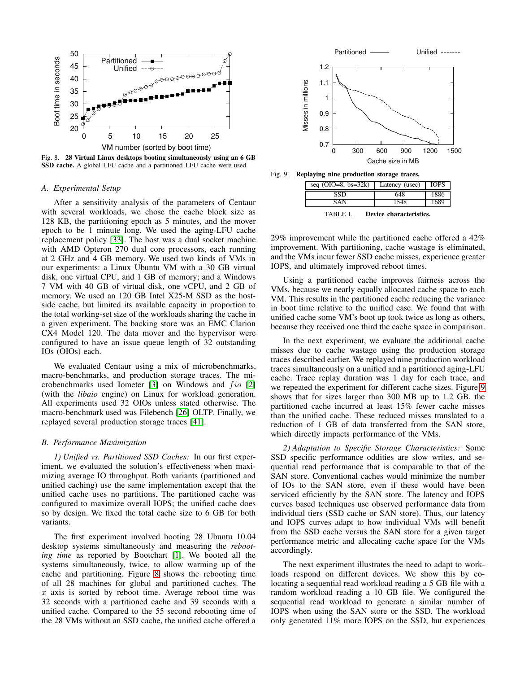

<span id="page-6-0"></span>Fig. 8. 28 Virtual Linux desktops booting simultaneously using an 6 GB SSD cache. A global LFU cache and a partitioned LFU cache were used.

#### *A. Experimental Setup*

After a sensitivity analysis of the parameters of Centaur with several workloads, we chose the cache block size as 128 KB, the partitioning epoch as 5 minutes, and the mover epoch to be 1 minute long. We used the aging-LFU cache replacement policy [\[33\]](#page-9-33). The host was a dual socket machine with AMD Opteron 270 dual core processors, each running at 2 GHz and 4 GB memory. We used two kinds of VMs in our experiments: a Linux Ubuntu VM with a 30 GB virtual disk, one virtual CPU, and 1 GB of memory; and a Windows 7 VM with 40 GB of virtual disk, one vCPU, and 2 GB of memory. We used an 120 GB Intel X25-M SSD as the hostside cache, but limited its available capacity in proportion to the total working-set size of the workloads sharing the cache in a given experiment. The backing store was an EMC Clarion CX4 Model 120. The data mover and the hypervisor were configured to have an issue queue length of 32 outstanding IOs (OIOs) each.

We evaluated Centaur using a mix of microbenchmarks, macro-benchmarks, and production storage traces. The microbenchmarks used Iometer  $[3]$  on Windows and  $f$ *io*  $[2]$ (with the *libaio* engine) on Linux for workload generation. All experiments used 32 OIOs unless stated otherwise. The macro-benchmark used was Filebench [\[26\]](#page-9-11) OLTP. Finally, we replayed several production storage traces [\[41\]](#page-9-12).

# *B. Performance Maximization*

*1) Unified vs. Partitioned SSD Caches:* In our first experiment, we evaluated the solution's effectiveness when maximizing average IO throughput. Both variants (partitioned and unified caching) use the same implementation except that the unified cache uses no partitions. The partitioned cache was configured to maximize overall IOPS; the unified cache does so by design. We fixed the total cache size to 6 GB for both variants.

The first experiment involved booting 28 Ubuntu 10.04 desktop systems simultaneously and measuring the *rebooting time* as reported by Bootchart [\[1\]](#page-9-36). We booted all the systems simultaneously, twice, to allow warming up of the cache and partitioning. Figure [8](#page-6-0) shows the rebooting time of all 28 machines for global and partitioned caches. The  $x$  axis is sorted by reboot time. Average reboot time was 32 seconds with a partitioned cache and 39 seconds with a unified cache. Compared to the 55 second rebooting time of the 28 VMs without an SSD cache, the unified cache offered a



Fig. 9. Replaying nine production storage traces.

<span id="page-6-2"></span><span id="page-6-1"></span>seq (OIO=8, bs=32k) Latency (usec) IOPS SSD 648 1886 SAN 1548 1689 TABLE I. Device characteristics.

29% improvement while the partitioned cache offered a 42% improvement. With partitioning, cache wastage is eliminated, and the VMs incur fewer SSD cache misses, experience greater IOPS, and ultimately improved reboot times.

Using a partitioned cache improves fairness across the VMs, because we nearly equally allocated cache space to each VM. This results in the partitioned cache reducing the variance in boot time relative to the unified case. We found that with unified cache some VM's boot up took twice as long as others, because they received one third the cache space in comparison.

In the next experiment, we evaluate the additional cache misses due to cache wastage using the production storage traces described earlier. We replayed nine production workload traces simultaneously on a unified and a partitioned aging-LFU cache. Trace replay duration was 1 day for each trace, and we repeated the experiment for different cache sizes. Figure [9](#page-6-1) shows that for sizes larger than 300 MB up to 1.2 GB, the partitioned cache incurred at least 15% fewer cache misses than the unified cache. These reduced misses translated to a reduction of 1 GB of data transferred from the SAN store, which directly impacts performance of the VMs.

*2) Adaptation to Specific Storage Characteristics:* Some SSD specific performance oddities are slow writes, and sequential read performance that is comparable to that of the SAN store. Conventional caches would minimize the number of IOs to the SAN store, even if these would have been serviced efficiently by the SAN store. The latency and IOPS curves based techniques use observed performance data from individual tiers (SSD cache or SAN store). Thus, our latency and IOPS curves adapt to how individual VMs will benefit from the SSD cache versus the SAN store for a given target performance metric and allocating cache space for the VMs accordingly.

The next experiment illustrates the need to adapt to workloads respond on different devices. We show this by colocating a sequential read workload reading a 5 GB file with a random workload reading a 10 GB file. We configured the sequential read workload to generate a similar number of IOPS when using the SAN store or the SSD. The workload only generated 11% more IOPS on the SSD, but experiences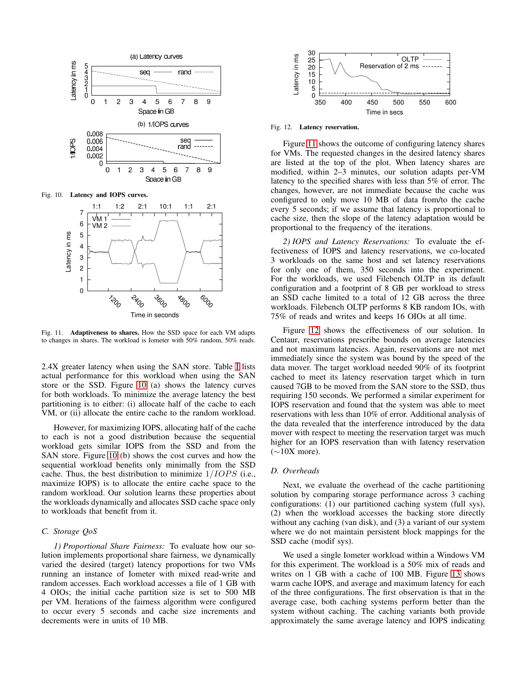

<span id="page-7-0"></span>

<span id="page-7-1"></span>Fig. 11. Adaptiveness to shares. How the SSD space for each VM adapts to changes in shares. The workload is Iometer with 50% random, 50% reads.

2.4X greater latency when using the SAN store. Table [I](#page-6-2) lists actual performance for this workload when using the SAN store or the SSD. Figure [10](#page-7-0) (a) shows the latency curves for both workloads. To minimize the average latency the best partitioning is to either: (i) allocate half of the cache to each VM, or (ii) allocate the entire cache to the random workload.

However, for maximizing IOPS, allocating half of the cache to each is not a good distribution because the sequential workload gets similar IOPS from the SSD and from the SAN store. Figure [10](#page-7-0) (b) shows the cost curves and how the sequential workload benefits only minimally from the SSD cache. Thus, the best distribution to minimize  $1/IOPS$  (i.e., maximize IOPS) is to allocate the entire cache space to the random workload. Our solution learns these properties about the workloads dynamically and allocates SSD cache space only to workloads that benefit from it.

# *C. Storage QoS*

*1) Proportional Share Fairness:* To evaluate how our solution implements proportional share fairness, we dynamically varied the desired (target) latency proportions for two VMs running an instance of Iometer with mixed read-write and random accesses. Each workload accesses a file of 1 GB with 4 OIOs; the initial cache partition size is set to 500 MB per VM. Iterations of the fairness algorithm were configured to occur every 5 seconds and cache size increments and decrements were in units of 10 MB.



<span id="page-7-2"></span>Fig. 12. Latency reservation.

Figure [11](#page-7-1) shows the outcome of configuring latency shares for VMs. The requested changes in the desired latency shares are listed at the top of the plot. When latency shares are modified, within 2–3 minutes, our solution adapts per-VM latency to the specified shares with less than 5% of error. The changes, however, are not immediate because the cache was configured to only move 10 MB of data from/to the cache every 5 seconds; if we assume that latency is proportional to cache size, then the slope of the latency adaptation would be proportional to the frequency of the iterations.

*2) IOPS and Latency Reservations:* To evaluate the effectiveness of IOPS and latency reservations, we co-located 3 workloads on the same host and set latency reservations for only one of them, 350 seconds into the experiment. For the workloads, we used Filebench OLTP in its default configuration and a footprint of 8 GB per workload to stress an SSD cache limited to a total of 12 GB across the three workloads. Filebench OLTP performs 8 KB random IOs, with 75% of reads and writes and keeps 16 OIOs at all time.

Figure [12](#page-7-2) shows the effectiveness of our solution. In Centaur, reservations prescribe bounds on average latencies and not maximum latencies. Again, reservations are not met immediately since the system was bound by the speed of the data mover. The target workload needed 90% of its footprint cached to meet its latency reservation target which in turn caused 7GB to be moved from the SAN store to the SSD, thus requiring 150 seconds. We performed a similar experiment for IOPS reservation and found that the system was able to meet reservations with less than 10% of error. Additional analysis of the data revealed that the interference introduced by the data mover with respect to meeting the reservation target was much higher for an IOPS reservation than with latency reservation  $(\sim 10X$  more).

## *D. Overheads*

Next, we evaluate the overhead of the cache partitioning solution by comparing storage performance across 3 caching configurations: (1) our partitioned caching system (full sys), (2) when the workload accesses the backing store directly without any caching (van disk), and (3) a variant of our system where we do not maintain persistent block mappings for the SSD cache (modif sys).

We used a single Iometer workload within a Windows VM for this experiment. The workload is a 50% mix of reads and writes on 1 GB with a cache of 100 MB. Figure [13](#page-8-0) shows warm cache IOPS, and average and maximum latency for each of the three configurations. The first observation is that in the average case, both caching systems perform better than the system without caching. The caching variants both provide approximately the same average latency and IOPS indicating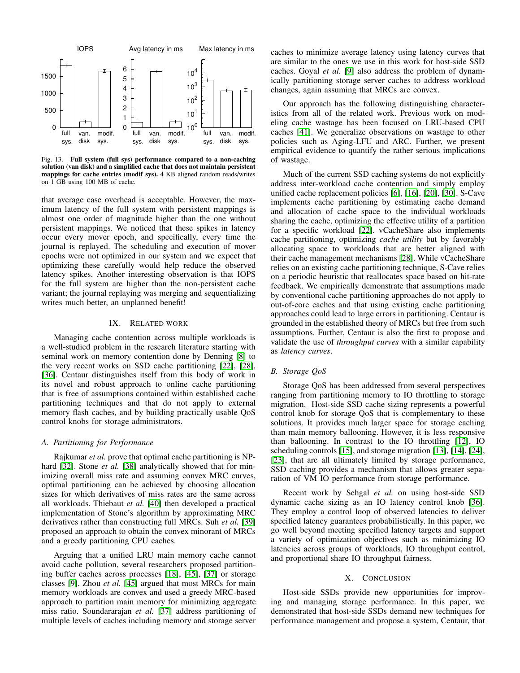

<span id="page-8-0"></span>Fig. 13. Full system (full sys) performance compared to a non-caching solution (van disk) and a simplified cache that does not maintain persistent mappings for cache entries (modif sys). 4 KB aligned random reads/writes on 1 GB using 100 MB of cache.

that average case overhead is acceptable. However, the maximum latency of the full system with persistent mappings is almost one order of magnitude higher than the one without persistent mappings. We noticed that these spikes in latency occur every mover epoch, and specifically, every time the journal is replayed. The scheduling and execution of mover epochs were not optimized in our system and we expect that optimizing these carefully would help reduce the observed latency spikes. Another interesting observation is that IOPS for the full system are higher than the non-persistent cache variant; the journal replaying was merging and sequentializing writes much better, an unplanned benefit!

# IX. RELATED WORK

Managing cache contention across multiple workloads is a well-studied problem in the research literature starting with seminal work on memory contention done by Denning [\[8\]](#page-9-37) to the very recent works on SSD cache partitioning [\[22\]](#page-9-6), [\[28\]](#page-9-7), [\[36\]](#page-9-38). Centaur distinguishes itself from this body of work in its novel and robust approach to online cache partitioning that is free of assumptions contained within established cache partitioning techniques and that do not apply to external memory flash caches, and by building practically usable QoS control knobs for storage administrators.

#### *A. Partitioning for Performance*

Rajkumar *et al.* prove that optimal cache partitioning is NP-hard [\[32\]](#page-9-16). Stone *et al.* [\[38\]](#page-9-10) analytically showed that for minimizing overall miss rate and assuming convex MRC curves, optimal partitioning can be achieved by choosing allocation sizes for which derivatives of miss rates are the same across all workloads. Thiebaut *et al.* [\[40\]](#page-9-13) then developed a practical implementation of Stone's algorithm by approximating MRC derivatives rather than constructing full MRCs. Suh *et al.* [\[39\]](#page-9-21) proposed an approach to obtain the convex minorant of MRCs and a greedy partitioning CPU caches.

Arguing that a unified LRU main memory cache cannot avoid cache pollution, several researchers proposed partitioning buffer caches across processes [\[18\]](#page-9-39), [\[45\]](#page-9-22), [\[37\]](#page-9-20) or storage classes [\[9\]](#page-9-17). Zhou *et al.* [\[45\]](#page-9-22) argued that most MRCs for main memory workloads are convex and used a greedy MRC-based approach to partition main memory for minimizing aggregate miss ratio. Soundararajan *et al.* [\[37\]](#page-9-20) address partitioning of multiple levels of caches including memory and storage server caches to minimize average latency using latency curves that are similar to the ones we use in this work for host-side SSD caches. Goyal *et al.* [\[9\]](#page-9-17) also address the problem of dynamically partitioning storage server caches to address workload changes, again assuming that MRCs are convex.

Our approach has the following distinguishing characteristics from all of the related work. Previous work on modeling cache wastage has been focused on LRU-based CPU caches [\[41\]](#page-9-12). We generalize observations on wastage to other policies such as Aging-LFU and ARC. Further, we present empirical evidence to quantify the rather serious implications of wastage.

Much of the current SSD caching systems do not explicitly address inter-workload cache contention and simply employ unified cache replacement policies [\[6\]](#page-9-1), [\[16\]](#page-9-2), [\[20\]](#page-9-3), [\[30\]](#page-9-4). S-Cave implements cache partitioning by estimating cache demand and allocation of cache space to the individual workloads sharing the cache, optimizing the effective utility of a partition for a specific workload [\[22\]](#page-9-6). vCacheShare also implements cache partitioning, optimizing *cache utility* but by favorably allocating space to workloads that are better aligned with their cache management mechanisms [\[28\]](#page-9-7). While vCacheShare relies on an existing cache partitioning technique, S-Cave relies on a periodic heuristic that reallocates space based on hit-rate feedback. We empirically demonstrate that assumptions made by conventional cache partitioning approaches do not apply to out-of-core caches and that using existing cache partitioning approaches could lead to large errors in partitioning. Centaur is grounded in the established theory of MRCs but free from such assumptions. Further, Centaur is also the first to propose and validate the use of *throughput curves* with a similar capability as *latency curves*.

#### *B. Storage QoS*

Storage QoS has been addressed from several perspectives ranging from partitioning memory to IO throttling to storage migration. Host-side SSD cache sizing represents a powerful control knob for storage QoS that is complementary to these solutions. It provides much larger space for storage caching than main memory ballooning. However, it is less responsive than ballooning. In contrast to the IO throttling [\[12\]](#page-9-40), IO scheduling controls [\[15\]](#page-9-41), and storage migration [\[13\]](#page-9-0), [\[14\]](#page-9-42), [\[24\]](#page-9-43), [\[23\]](#page-9-44), that are all ultimately limited by storage performance, SSD caching provides a mechanism that allows greater separation of VM IO performance from storage performance.

Recent work by Sehgal *et al.* on using host-side SSD dynamic cache sizing as an IO latency control knob [\[36\]](#page-9-38). They employ a control loop of observed latencies to deliver specified latency guarantees probabilistically. In this paper, we go well beyond meeting specified latency targets and support a variety of optimization objectives such as minimizing IO latencies across groups of workloads, IO throughput control, and proportional share IO throughput fairness.

#### X. CONCLUSION

Host-side SSDs provide new opportunities for improving and managing storage performance. In this paper, we demonstrated that host-side SSDs demand new techniques for performance management and propose a system, Centaur, that